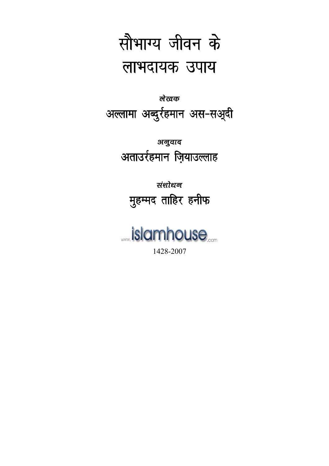

# लेखक अल्लामा अब्दुर्रहमान अस-सअूदी

## अनुवाद अताउर्रहमान ज़ियाउल्लाह

## संशोधन मुहम्मद ताहिर हनीफ

# *<u> …islamhouse</u>* 1428-2007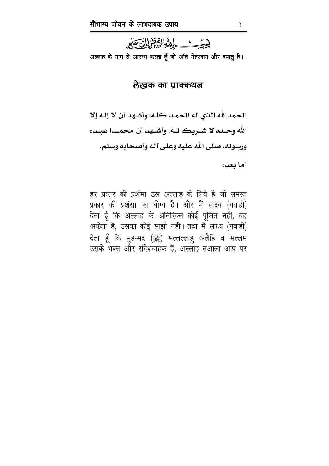

अल्लाह के नाम से आरम्भ करता हूँ जो अति मेहरबान और दयालू है।

#### लेखक का पाक्कथन

الحمد لله الذي له الحمد كلـه، وأشـهد أن لا إلـه إلا الله وحـده لا شـريك لـه، وأشـهد أن محمـدا عبـده ورسوله، صلبي الله عليه وعلى آله وأصحابه وسلم.

أما يعد:

हर प्रकार की प्रशंसा उस अल्लाह के लिये है जो समस्त प्रकार की प्रशंसा का योग्य है। और मैं साक्ष्य (गवाही) देता हूँ कि अल्लाह के अतिरिक्त कोई पूजित नहीं, वह अकेला है, उसका कोई साझी नही। तथा मैं साक्ष्य (गवाही) देता हूँ कि मुहम्मद (ﷺ) सल्लल्लाहु अलैहि व सल्लम उसके भक्त और संदेशवाहक हैं, अल्लाह तआला आप पर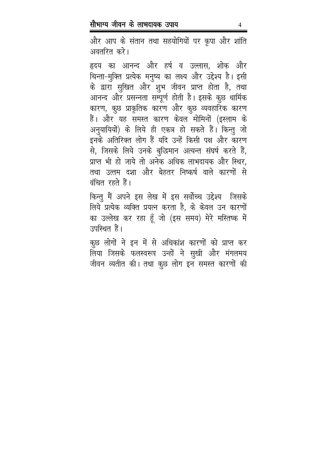और आप के संतान तथा सहयोगियों पर कृपा और शांति अवतरित करे।

हृदय का आनन्द और हर्ष व उल्लास, शोक और चिन्ता-मुक्ति प्रत्येक मनुष्य का लक्ष्य और उद्देश्य है। इसी के द्वारा सुखित और शुभ जीवन प्राप्त होता है, तथा आनन्द और प्रसन्नता सम्पूर्ण होती है। इसके कूछ धार्मिक कारण, कुछ प्राकृतिक कारण और कुछ व्यवहारिक कारण हैं। और यह समस्त कारण केवल मोमिनों (इस्लाम के अनुयायियों) के लिये ही एकत्र हो सकते हैं। किन्तु जो इनके अतिरिक्त लोग हैं यदि उन्हें किसी पक्ष और कारण से, जिसके लिये उनके बुद्धिमान अत्यन्त संघर्ष करते हैं, प्राप्त भी हो जाये तो अनेक अधिक लाभदायक और स्थिर, तथा उत्तम दशा और बेहतर निष्कर्ष वाले कारणों से वंचित रहते हैं।

किन्तु मैं अपने इस लेख में इस सर्वोच्च उद्देश्य जिसके लिये प्रत्येक व्यक्ति प्रयत्न करता है, के केवल उन कारणों का उल्लेख कर रहा हूँ जो (इस समय) मेरे मस्तिष्क में उपस्थित हैं।

कुछ लोगों ने इन में से अधिकांश कारणों को प्राप्त कर लिया जिसके फलस्वरूप उन्हों ने सुखी और मंगलमय जीवन व्यतीत की। तथा कुछ लोग इन समस्त कारणों की

4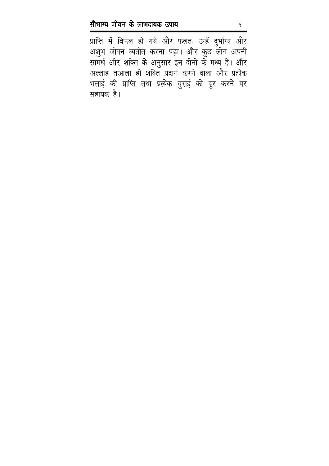प्राप्ति में विफल हो गये और फलतः उन्हें दुर्भाग्य और अशुभ जीवन व्यतीत करना पड़ा। और कुछ लोग अपनी सामर्थ और शक्ति के अनुसार इन दोनों के मध्य हैं। और अल्लाह तआला ही शक्ति प्रदान करने वाला और प्रत्येक भलाई की प्राप्ति तथा प्रत्येक बुराई को दूर करने पर सहायक है।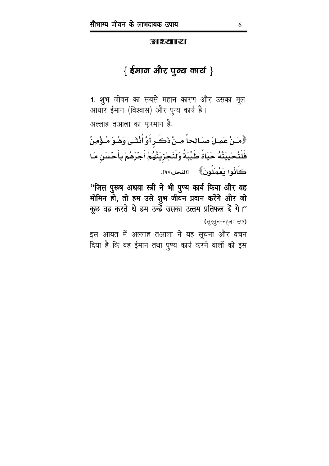**अा श्रिया। स्था** 

### { ईमान और पुल्य कार्य }

1. शुभ जीवन का सबसे महान कारण और उसका मूल आधार ईमान (विश्वास) और पुन्य कार्य है।

अल्लाह तआला का फरमान है:

﴿مَـنْ عَمِـلَ صَـالِحاً مِـنْ ذَكَـرٍ أَوْ أُنْثَـى وَهُـوَ مُـؤْمِنٌ فَلَنُحْيِيَنَّهُ حَيَاةً طَيِّبَةً وَلَنَجْزِيَنَّهُمْ أَجْرَهُمْ بِأَحْسَنِ مَا كَانُوا يَعْمَلُونَ﴾ [النحل:٩٧].

''जिस पुरूष अथवा स्त्री ने भी पुण्य कार्य किया और वह मोमिन हो, तो हम उसे शुभ जीवन प्रदान करेंगे और जो कूछ वह करते थे हम उन्हें उसका उत्तम प्रतिफल दें गे।" (सुरतून-नहलः ६७)

इस आयत में अल्लाह तआला ने यह सूचना और वचन दिया है कि वह ईमान तथा पुण्य कार्य करने वालों को इस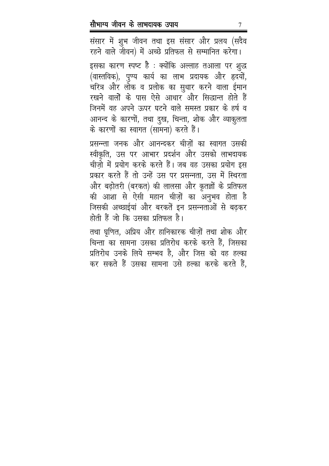संसार में शुभ जीवन तथा इस संसार और प्रलय (सदैव रहने वाले जीवन) में अच्छे प्रतिफल से सम्मानित करेगा। इसका कारण स्पष्ट है : क्योंकि अल्लाह तआला पर शुद्ध (वास्तविक), पुण्य कार्य का लाभ प्रदायक और हृदयों, चरित्र और लोक व प्रलोक का सुधार करने वाला ईमान रखने वालों के पास ऐसे आधार और सिद्धान्त होते हैं जिनमें वह अपने ऊपर घटने वाले समस्त प्रकार के हर्ष व आनन्द के कारणों, तथा दुख, चिन्ता, शोक और व्याकुलता के कारणों का स्वागत (सामना) करते हैं।

प्रसन्न्ता जनक और आनन्दकर चीजों का स्वागत उसकी स्वीकृति, उस पर आभार प्रदर्शन और उसको लाभदायक चीज़ो में प्रयोग करके करते हैं। जब वह उसका प्रयोग इस प्रकार करते हैं तो उन्हें उस पर प्रसन्नता, उस में स्थिरता और बढ़ोतरी (बरकत) की लालसा और कृतज्ञों के प्रतिफल की आशा से ऐसी महान चीज़ों का अनुभव होता है जिसकी अच्छाईयां और बरकतें इन प्रसन्नताओं से बढकर होती हैं जो कि उसका प्रतिफल है।

तथा घृणित, अप्रिय और हानिकारक चीज़ों तथा शोक और चिन्ता का सामना उसका प्रतिरोध करके करते हैं, जिसका प्रतिरोध उनके लिये सम्भव है, और जिस को वह हल्का कर सकते हैं उसका सामना उसे हल्का करके करते हैं,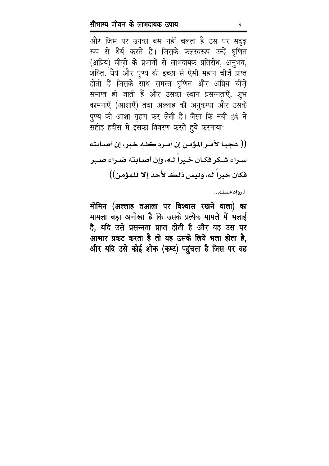और जिस पर उनका बस नहीं चलता है उस पर सदृढ़ रूप से धैर्य करते हैं। जिसके फलस्वरूप उन्हें घृणित (अप्रिय) चीज़ों के प्रभावों से लाभदायक प्रतिरोध, अनुभव, शक्ति, धैर्य और पुण्य की इच्छा से ऐसी महान चीज़ें प्राप्त होती हैं जिसके साथ समस्त घृणित और अप्रिय चीज़ें समाप्त हो जाती हैं और उसका स्थान प्रसन्नताऐं, शुभ कामनाऐं (आशाऐं) तथा अल्लाह की अनुकम्पा और उसके पुण्य की आशा गृहण कर लेती है। जैसा कि नबी ﷺ ने सहीह हदीस में इसका विवरण करते हुये फरमायाः

(( عجبــا لأمــر المـؤمـن إن أمــره كلــه خـير، إن أصــابـته سـراءِ شـكر فكـان خـيرا لـه، وإن أصـابته ضـراءِ صـبر فكان خيرا له، وليس ذلك لأحد إلا للمؤمن))

[ رواه مسلم ].

मोमिन (अल्लाह तआला पर विश्वास रखने वाला) का मामला बड़ा अनोखा है कि उसके प्रत्येक मामले में भलाई है, यदि उसे प्रसन्नता प्राप्त होती है और वह उस पर आभार प्रकट करता है तो यह उसके लिये भला होता है, और यदि उसे कोई शोक (कष्ट) पहुंचता है जिस पर वह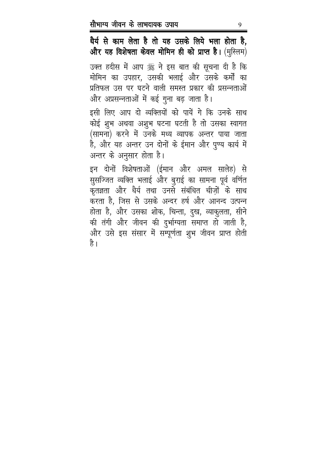धैर्य से काम लेता है तो यह उसके लिये भला होता है, और यह विशेषता केवल मोमिन ही को प्राप्त है। (मुस्लिम) उक्त हदीस में आप ﷺ ने इस बात की सूचना दी है कि मोमिन का उपहार, उसकी भलाई और उसके कर्मों का प्रतिफल उस पर घटने वाली समस्त प्रकार की प्रसन्नताओं और अप्रसन्नताओं में कई गुना बढ़ जाता है।

इसी लिए आप दो व्यक्तियों को पायें गे कि उनके साथ कोई शुभ अथवा अशुभ घटना घटती है तो उसका स्वागत (सामना) करने में उनके मध्य व्यापक अन्तर पाया जाता है, और यह अन्तर उन दोनों के ईमान और पुण्य कार्य में अन्तर के अनुसार होता है।

इन दोनों विशेषताओं (ईमान और अमल सालेह) से सुसज्जित व्यक्ति भलाई और बुराई का सामना पूर्व वर्णित कृतज्ञता और धैर्य तथा उनसे संबंधित चीज़ों के साथ करता है, जिस से उसके अन्दर हर्ष और आनन्द उत्पन्न होता है, और उसका शोक, चिन्ता, दुख, व्याकुलता, सीने की तंगी और जीवन की दुर्भाग्यता समाप्त हो जाती है, और उसे इस संसार में सम्पूर्णता शुभ जीवन प्राप्त होती है ।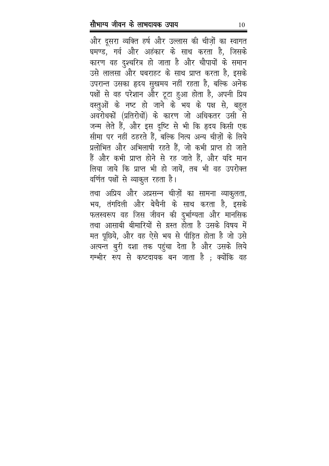और दूसरा व्यक्ति हर्ष और उल्लास की चीज़ों का स्वागत घमण्ड, गर्व और अहंकार के साथ करता है, जिसके कारण वह दुश्चरित्र हो जाता है और चौपायों के समान उसे लालसा और घबराहट के साथ प्राप्त करता है, इसके उपरान्त उसका हृदय सुखमय नहीं रहता है, बल्कि अनेक पक्षों से वह परेशान और टूटा हुआ होता है, अपनी प्रिय वस्तुओं के नष्ट हो जाने के भय के पक्ष से, बहुल अवरोधकों (प्रतिरोधों) के कारण जो अधिकतर उसी से जन्म लेते हैं, और इस दृष्टि से भी कि हृदय किसी एक सीमा पर नहीं ठहरते हैं, बल्कि नित्य अन्य चीज़ों के लिये प्रलोभित और अभिलाषी रहते हैं, जो कभी प्राप्त हो जाते हैं और कभी प्राप्त होने से रह जाते हैं, और यदि मान लिया जाये कि प्राप्त भी हो जायें, तब भी वह उपरोक्त वर्णित पक्षों से व्याकुल रहता है।

तथा अप्रिय और अप्रसन्न चीज़ों का सामना व्याकुलता, भय, तंगदिली और बेचैनी के साथ करता है, इसके फलस्वरूप वह जिस जीवन की दुर्भाग्यता और मानसिक तथा आसाबी बीमारियों से ग्रस्त होता है उसके विषय में मत पूछिये, और वह ऐसे भय से पीड़ित होता है जो उसे अत्यन्त बुरी दशा तक पहुंचा देता है और उसके लिये गम्भीर रूप से कष्टदायक बन जाता है ; क्योंकि वह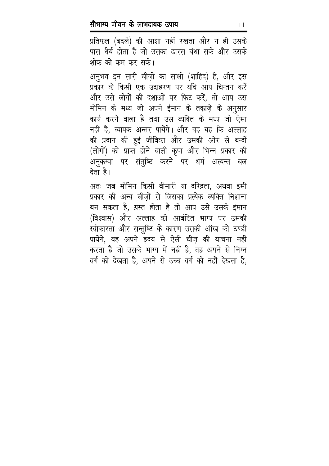प्रतिफल (बदले) की आशा नहीं रखता और न ही उसके पास धैर्य होता है जो उसका ढारस बंधा सके और उसके शोक को कम कर सके।

अनुभव इन सारी चीज़ों का साक्षी (शाहिद) है, और इस प्रकार के किसी एक उदाहरण पर यदि आप चिन्तन करें और उसे लोगों की दशाओं पर फिट करें, तो आप उस मोमिन के मध्य जो अपने ईमान के तकाज़े के अनुसार कार्य करने वाला है तथा उस व्यक्ति के मध्य जो ऐसा नहीं है, व्यापक अन्तर पायेंगे। और वह यह कि अल्लाह की प्रदान की हुई जीविका और उसकी ओर से बन्दों (लोगों) को प्राप्त होने वाली कृपा और भिन्न प्रकार की अनुकम्पा पर संतुष्टि करने पर धर्म अत्यन्त बल देता है।

अतः जब मोमिन किसी बीमारी या दरिद्रता, अथवा इसी प्रकार की अन्य चीज़ों से जिसका प्रत्येक व्यक्ति निशाना बन सकता है, ग्रस्त होता है तो आप उसे उसके ईमान (विश्वास) और अल्लाह की आबंटित भाग्य पर उसकी स्वीकारता और सन्तुष्टि के कारण उसकी ऑख को ठण्डी पायेंगे, वह अपने हृदय से ऐसी चीज़ की याचना नहीं करता है जो उसके भाग्य में नहीं है, वह अपने से निम्न वर्ग को देखता है, अपने से उच्च वर्ग को नहीं देखता है,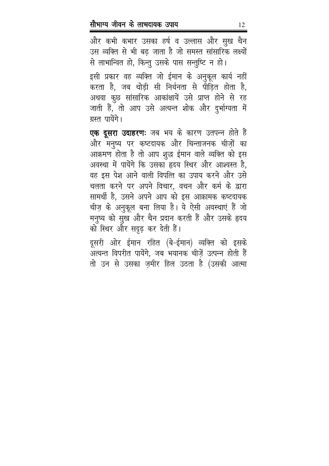और कभी कभार उसका हर्ष व उल्लास और सुख चैन उस व्यक्ति से भी बढ़ जाता है जो समस्त सांसारिक लक्ष्यों से लाभान्वित हो, किन्तु उसके पास सन्तुष्टि न हो।

इसी प्रकार वह व्यक्ति जो ईमान के अनुकूल कार्य नहीं करता है, जब थोड़ी सी निर्धनता से पीड़ित होता है, अथवा कुछ सांसारिक आकांक्षायें उसे प्राप्त होने से रह जाती हैं, तो आप उसे अत्यन्त शोक और दुर्भाग्यता में ग्रस्त पायेंगे।

एक दूसरा उदाहरणः जब भय के कारण उतपन्न होते हैं और मनुष्य पर कष्टदायक और चिन्ताजनक चीज़ों का आक्रमण होता है तो आप शुद्ध ईमान वाले व्यक्ति को इस अवस्था में पायेंगे कि उसका हृदय स्थिर और आश्वस्त है, वह इस पेश आने वाली विपत्ति का उपाय करने और उसे चलता करने पर अपने विचार, वचन और कर्म के द्वारा सामर्थी है, उसने अपने आप को इस आक्रामक कष्टदायक चीज़ के अनुकूल बना लिया है। ये ऐसी अवस्थाएं हैं जो मनुष्य को सुख और चैन प्रदान करती हैं और उसके हृदय को स्थिर और सदृढ़ कर देती हैं।

दूसरी ओर ईमान रहित (बे-ईमान) व्यक्ति को इसके अत्यन्त विपरीत पायेंगे, जब भयानक चीज़ें उत्पन्न होती हैं तो उन से उसका ज़मीर हिल उठता है (उसकी आत्मा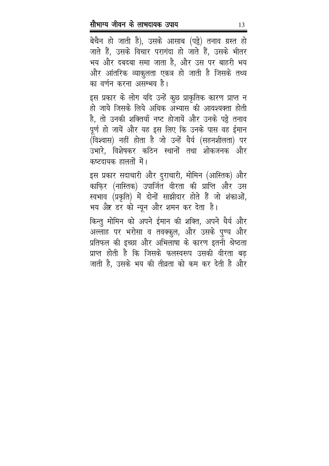बेचैन हो जाती है), उसके आसाब (पड्ठे) तनाव ग्रस्त हो जाते हैं, उसके विचार परागंदा हो जाते हैं, उसके भीतर भय और दबदबा समा जाता है, और उस पर बाहरी भय और आंतरिक व्याकुलता एकत्र हो जाती है जिसके तथ्य का वर्णन करना असम्भव है।

इस प्रकार के लोग यदि उन्हें कुछ प्राकृतिक कारण प्राप्त न हो जाये जिसके लिये अधिक अभ्यास की आवश्यक्ता होती है, तो उनकी शक्तियाँ नष्ट होजायें और उनके पट्ठे तनाव पूर्ण हो जायें और यह इस लिए कि उनके पास वह ईमान (विश्वास) नहीं होता है जो उन्हें धैर्य (सहनशीलता) पर उभारे. विशेषकर कठिन स्थानों तथा शोकजनक और कष्टदायक हालतों में।

इस प्रकार सदाचारी और दुराचारी, मोमिन (आस्तिक) और काफि़र (नास्तिक) उपार्जित वीरता की प्राप्ति और उस स्वभाव (प्रकृति) में दोनों साझीदार होते हैं जो शंकाओं, भय और डर को न्यून और शमन कर देता है।

किन्तु मोमिन को अपने ईमान की शक्ति, अपने धैर्य और अल्लाह पर भरोसा व तवक्कुल, और उसके पुण्य और प्रतिफल की इच्छा और अभिलाषा के कारण इतनी श्रेष्ठता प्राप्त होती है कि जिसके फलस्वरूप उसकी वीरता बढ़ जाती है, उसके भय की तीव्रता को कम कर देती है और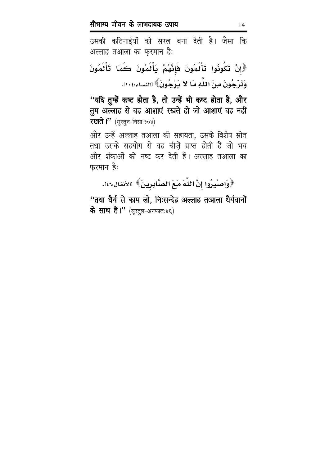उसकी कठिनाईयों को सरल बना देती है। जैसा कि अल्लाह तआला का फ़रमान है:

لْإِنْ تَكُونُوا تَأْلُمُونَ فَإِنَّهُمْ يَأْلُمُونَ كَمَا تَأْلُمُونَ وَتَرْجُونَ مِنَ اللَّهِ مَا لا يَرْجُونَ﴾ [النساء:١٠٤.

''यदि तुम्हें कष्ट होता है, तो उन्हें भी कष्ट होता है, और तुम अल्लाह से वह आशाएं रखते हो जो आशाएं वह नहीं --**रखते ।''** (सूरतुन-निसाः१०४)

और उन्हें अल्लाह तआला की सहायता, उसके विशेष म्रोत तथा उसके सहयोग से वह चीज़ें प्राप्त होती हैं जो भय -और शंकाओं को नष्ट कर देती हैं। अल्लाह तआला का फुरमान हैः

﴿وَاصْبِرُوا إِنَّ اللَّهَ مَعَ الصَّابِرِينَ﴾ [الأنفال:٤٦].

''तथा धैर्य से काम लो, निःसन्देह अल्लाह तआला धैर्यवानों --**के साथ है।''** (सूरतुल-अनफालः४६)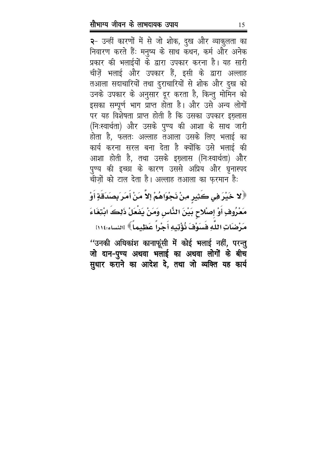२- उन्हीं कारणों में से जो शोक, दुख और व्याकुलता का निवारण करते हैं: मनुष्य के साथ कथन, कर्म और अनेक प्रकार की भलाईयों के द्वारा उपकार करना है। यह सारी चीज़ें भलाई और उपकार हैं, इसी के द्वारा अल्लाह तआला सदाचारियों तथा दुराचारियों से शोक और दुख को उनके उपकार के अनुसार दूर करता है, किन्तु मोमिन को इसका सम्पूर्ण भाग प्राप्त होता है। और उसे अन्य लोगों पर यह विशेषता प्राप्त होती है कि उसका उपकार इख़्लास (निःस्वार्थता) और उसके पुण्य की आशा के साथ जारी होता है, फलतः अल्लाह तआला उसके लिए भलाई का कार्य करना सरल बना देता है क्योंकि उसे भलाई की आशा होती है, तथा उसके इख़्लास (निःस्वार्थता) और पुण्य की इच्छा के कारण उससे अप्रिय और घृनास्पद चीजों को टाल देता है। अल्लाह तआला का फरमान है:

﴿لا خَيْرَ فِي كَثِيرِ مِنْ نَجْوَاهُمْ إِلاَّ مَنْ أَمَرَ بِصَدَقَةٍ أَوْ مَعْرُوفٍ أَوْ إِصْلاحٍ بَيْنَ النَّاسِ وَمَنْ يَضْعَلْ ذَلِكَ ابْتِغَاءَ مَرْضَاتِ اللَّهِ فَسَوْفَ نُؤْتِيهِ أَجْراً عَظِيماً ﴾ [النساء:١١٤

''उनकी अधिकांश कानाफूंसी में कोई भलाई नहीं, परन्तु जो दान-पुण्य अथवा भलाई का अथवा लोगों के बीच सुधार कराने का आदेश दे, तथा जो व्यक्ति यह कार्य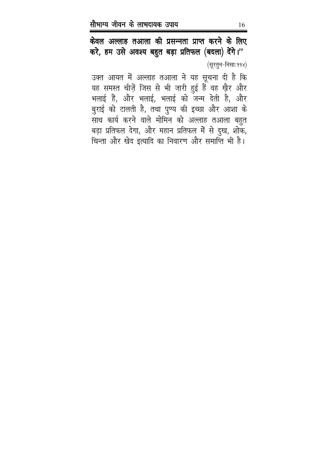केवल अल्लाह तआला की प्रसन्नता प्राप्त करने के लिए करे, हम उसे अवश्य बहुत बड़ा प्रतिफल (बदला) देंगे।" (सूरतुन-निसाः ११४)

उक्त आयत में अल्लाह तआला ने यह सूचना दी है कि यह समस्त चीज़ें जिस से भी जारी हुई हैं वह ख़ैर और भलाई हैं, और भलाई, भलाई को जन्म देती है, और बुराई को टालती है, तथा पुण्य की इच्छा और आशा के साथ कार्य करने वाले मोमिन को अल्लाह तआला बहुत बड़ा प्रतिफल देगा, और महान प्रतिफल में से दुख, शोक, चिन्ता और खेद इत्यादि का निवारण और समाप्ति भी है।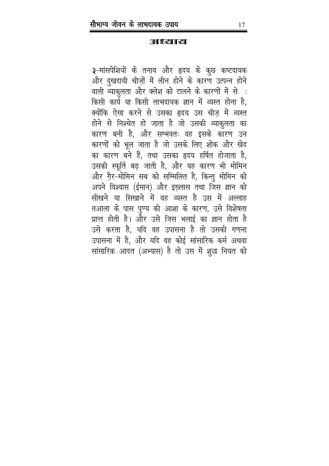**RETHES? THE** 

3-मांसपेशियों के तनाव और हृदय के कुछ कष्टदायक और दुखदायी चीज़ों में लीन होने के कारण उत्पन्न होने वाली व्याकृलता और क्लेश को टालने के कारणों में से : किसी कार्य या किसी लाभदायक ज्ञान में व्यस्त होना है, क्योंकि ऐसा करने से उसका हृदय उस चीज़ में व्यस्त होने से निश्चेत हो जाता है जो उसकी व्याकुलता का कारण बनी है, और सम्भवतः वह इसके कारण उन कारणों को भूल जाता है जो उसके लिए शोक और खेद का कारण बने हैं, तथा उसका हृदय हर्षित होजाता है, उसकी स्फूर्ति बढ़ जाती है, और यह कारण भी मोमिन और ग़ैर-मोमिन सब को सम्मिलित है, किन्तु मोमिन को अपने विश्वास (ईमान) और इख़्लास तथा जिस ज्ञान को सीखने या सिखाने में वह व्यस्त है उस में अल्लाह तआला के पास पुण्य की आशा के कारण, उसे विशेषता प्राप्त होती है। और उसे जिस भलाई का ज्ञान होता है उसे करता है, यदि वह उपासना है तो उसकी गणना उपासना में है, और यदि वह कोई सांसारिक कर्म अथवा सांसारिक आदत (अभ्यास) है तो उस में शुद्ध नियत को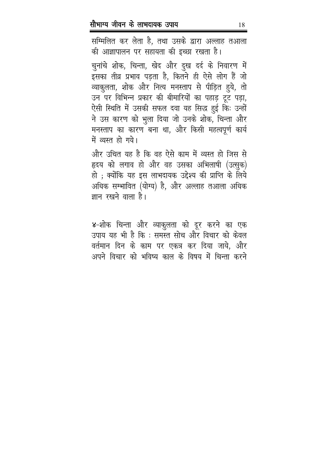सम्मिलित कर लेता है, तथा उसके द्वारा अल्लाह तआला की आज्ञापालन पर सहायता की इच्छा रखता है।

चुनांचे शोक, चिन्ता, खेद और दुख दर्द के निवारण में इसका तीव्र प्रभाव पड़ता है, कितने ही ऐसे लोग हैं जो व्याकुलता, शोक और नित्य मनस्ताप से पीड़ित हुये, तो उन पर विभिन्न प्रकार की बीमारियों का पहाड़ टूट पड़ा, ऐसी स्थिति में उसकी सफल दवा यह सिद्ध हुई कि: उन्हों ने उस कारण को भुला दिया जो उनके शोक, चिन्ता और मनस्ताप का कारण बना था, और किसी महत्वपूर्ण कार्य में व्यस्त हो गये।

और उचित यह है कि वह ऐसे काम में व्यस्त हो जिस से हृदय को लगाव हो और वह उसका अभिलाषी (उत्सुक) हो ; क्योंकि यह इस लाभदायक उद्देश्य की प्राप्ति के लिये अधिक सम्भावित (योग्य) है, और अल्लाह तआला अधिक ज्ञान रखने वाला है।

४-शोक चिन्ता और व्याकुलता को दूर करने का एक उपाय यह भी है कि : समस्त सोच और विचार को केवल वर्तमान दिन के काम पर एकत्र कर दिया जाये, और अपने विचार को भविष्य काल के विषय में चिन्ता करने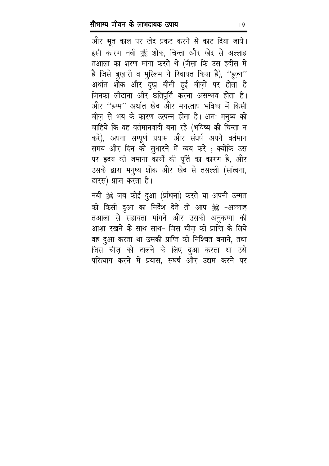और भूत काल पर खेद प्रकट करने से काट दिया जाये। इसी कारण नबी ﷺ शोक, चिन्ता और खेद से अल्लाह तआला का शरण मांगा करते थे (जैसा कि उस हदीस में है जिसे बुख़ारी व मुस्लिम ने रिवायत किया है), "ह़ज़्न" अर्थात शोक और दुख़ बीती हुई चीज़ों पर होता है जिनका लौटाना और छतिपूर्ति करना असम्भव होता है। और "हम्म" अर्थात खेद और मनस्ताप भविष्य में किसी चीज़ से भय के कारण उत्पन्न होता है। अतः मनुष्य को चाहिये कि वह वर्तमानवादी बना रहे (भविष्य की चिन्ता न करे), अपना सम्पूर्ण प्रयास और संघर्ष अपने वर्तमान समय और दिन को सुधारने में व्यय करे ; क्योंकि उस पर हृदय को जमाना कार्यों की पूर्ति का कारण है, और उसके द्वारा मनुष्य शोक और खेद से तसल्ली (सांत्वना, ढारस) प्राप्त करता है।

नबी ﷺ जब कोई दुआ (र्प्राथना) करते या अपनी उम्मत को किसी दुआ का निर्देश देते तो आप ﷺ -अल्लाह तआला से सहायता मांगने और उसकी अनुकम्पा की आशा रखने के साथ साथ- जिस चीज़ की प्राप्ति के लिये वह दुआ करता था उसकी प्राप्ति को निश्चित बनाने, तथा जिस चीज़ को टालने के लिए दुआ करता था उसे परित्याग करने में प्रयास, संघर्ष और उद्यम करने पर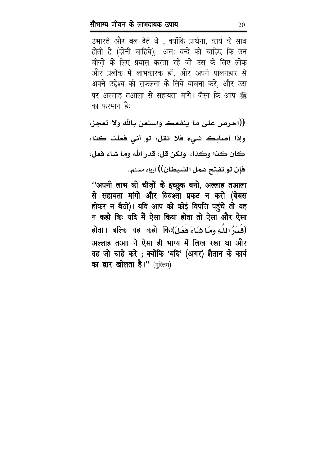उभारते और बल देते थे ; क्योंकि प्रार्थना, कार्य के साथ होती है (होनी चाहिये), अतः बन्दे को चाहिए कि उन चीजों के लिए प्रयास करता रहे जो उस के लिए लोक और प्रलोक में लाभकारक हों, और अपने पालनहार से अपने उद्देश्य की सफलता के लिये याचना करे, और उस पर अल्लाह तआला से सहायता मांगे। जैसा कि आप ﷺ का फरमान है:

((احرص على ما ينفعك واستعن بالله ولا تعجز، وإذا أصابك شيء فلا تقل: لو أني فعلت كذا، كان كذا وكذا، ولكن قل: قدر الله وما شاء فعل، فإن لو تفتح عمل الشيطان)) ارواه مسلم].

"अपनी लाभ की चीज़ों के इच्छुक बनो, अल्लाह तआला से सहायता मांगो और विवश्ता प्रकट न करो (बेबस होकर न बैठो)। यदि आप को कोई विपत्ति पहुंचे तो यह न कहो कि: यदि मैं ऐसा किया होता तो ऐसा और ऐसा होता। बल्कि यह कहो किः(فَعَلَ) होता। बल्कि यह कहो कि अल्लाह तआा ने ऐसा ही भाग्य में लिख रखा था और वह जो चाहे करे; क्योंकि 'यदि' (अगर) शैतान के कार्य का द्वार खोलता है।" (मुस्लिम)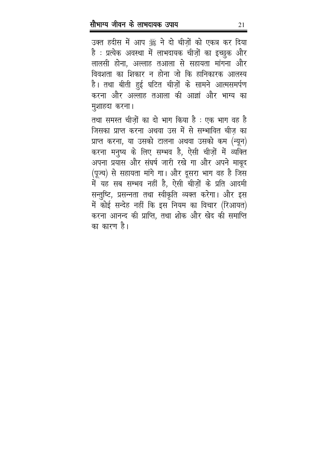उक्त हदीस में आप ﷺ ने दो चीज़ों को एकत्र कर दिया है : प्रत्येक अवस्था में लाभदायक चीज़ों का इच्छुक और लालसी होना, अल्लाह तआला से सहायता मांगना और विवशता का शिकार न होना जो कि हानिकारक आलस्य है। तथा बीती हुई घटित चीज़ों के सामने आत्मसमर्पण करना और अल्लाह तआला की आज्ञां और भाग्य का मुशाहदा करना।

तथा समस्त चीज़ों का दो भाग किया है : एक भाग वह है जिसका प्राप्त करना अथवा उस में से सम्भावित चीज का प्राप्त करना, या उसको टालना अथवा उसको कम (न्यून) करना मनुष्य के लिए सम्भव है, ऐसी चीज़ों में व्यक्ति अपना प्रयास और संघर्ष जारी रखे गा और अपने माबूद (पूज्य) से सहायता मांगे गा। और दूसरा भाग वह है जिस में यह सब सम्भव नहीं है, ऐसी चीज़ों के प्रति आदमी सन्तुष्टि, प्रसन्नता तथा स्वीकृति व्यक्त करेगा। और इस में कोई सन्देह नहीं कि इस नियम का विचार (रिआयत) करना आनन्द की प्राप्ति, तथा शोक और खेद की समाप्ति का कारण है।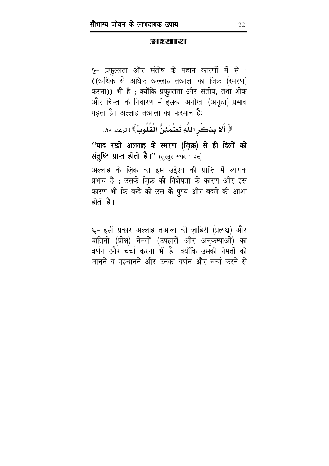**RETHES? THE** 

**५**- प्रफुल्लता और संतोष के महान कारणों में से : ((अधिक से अधिक अल्लाह तआला का ज़िक्र (स्मरण) करना)) भी है ; क्योंकि प्रफुल्लता और संतोष, तथा शोक और चिन्ता के निवारण में इसका अनोखा (अनूठा) प्रभाव पड़ता है। अल्लाह तआला का फरमान है:

﴿ أَلا بِنِكْرِ اللَّهِ تَطْمَئِنُّ الْقُلُوبُ﴾ [الرعد: ٢٨].

''याद रखो अल्लाह के स्मरण (ज़िक्र) से ही दिलों को संतुष्टि प्राप्त होती है।" (सूरतुर-रअद: २८)

अल्लाह के ज़िक्र का इस उद्देश्य की प्राप्ति में व्यापक प्रभाव है ; उसके ज़िक्र की विशेषता के कारण और इस कारण भी कि बन्दे को उस के पुण्य और बदले की आशा होती है।

**६**- इसी प्रकार अल्लाह तआला की ज़ाहिरी (प्रत्यक्ष) और बाति़नी (प्रोक्ष) नेमतों (उपहारों और अनुकम्पाओं) का वर्णन और चर्चा करना भी है। क्योंकि उसकी नेमतों को जानने व पहचानने और उनका वर्णन और चर्चा करने से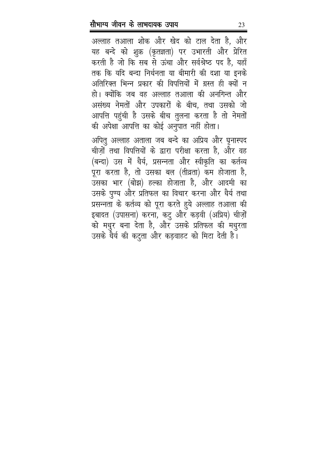अल्लाह तआला शोक और खेद को टाल देता है, और यह बन्दे को शुक्र (कृतज्ञता) पर उभारती और प्रेरित करती है जो कि सब से ऊंचा और सर्वश्रेष्ठ पद है, यहाँ तक कि यदि बन्दा निर्धनता या बीमारी की दशा या इनके अतिरिक्त भिन्न प्रकार की विपत्तियों में ग्रस्त ही क्यों न हो। क्योंकि जब वह अल्लाह तआला की अनगिन्त और असंख्य नेमतों और उपकारों के बीच, तथा उसको जो आपत्ति पहुंची है उसके बीच तुलना करता है तो नेमतों की अपेक्षा आपत्ति का कोई अनुपात नहीं होता।

अपितु अल्लाह अताला जब बन्दे का अप्रिय और घृनास्पद चीज़ों तथा विपत्तियों के द्वारा परीक्षा करता है, और वह (बन्दा) उस में धैर्य, प्रसन्नता और स्वीकृति का कर्तव्य पूरा करता है, तो उसका बल (तीव्रता) कम होजाता है, उसका भार (बोझ) हल्का होजाता है, और आदमी का उसके पुण्य और प्रतिफल का विचार करना और धैर्य तथा प्रसन्नता के कर्तव्य को पूरा करते हुये अल्लाह तआला की इबादत (उपासना) करना, कटु और कड़वी (अप्रिय) चीज़ों को मधुर बना देता है, और उसके प्रतिफल की मधुरता उसके धैर्य की कटुता और कड़वाहट को मिटा देती है।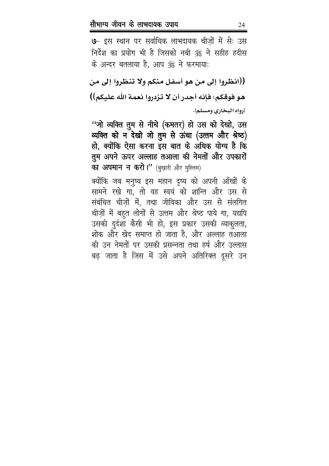७- इस स्थान पर सर्वाधिक लाभदायक चीज़ों में से: उस निर्देश का प्रयोग भी है जिसको नबी ﷺ ने सहीह हदीस के अन्दर बतलाया है, आप ﷺ ने फरमायाः

((انظروا إلى من هو أسفل منكم ولا تنظروا إلى من هو فوقكم؛ فإنه أجدر أن لا تزدروا نعمة الله عليكم)) ارواه البخاري ومسلم].

"जो व्यक्ति तुम से नीचे (कमतर) हो उस को देखो, उस व्यक्ति को न देखो जो तुम से ऊंचा (उत्तम और श्रेष्ठ) हो, क्योंकि ऐसा करना इस बात के अधिक योग्य है कि तुम अपने ऊपर अल्लाह तआला की नेमतों और उपकारों का अपमान न करो।" (बुख़ारी और मुस्लिम)

क्योंकि जब मनुष्य इस महान दृष्य को अपनी आँखों के सामने रखे गा. तो वह स्वयं को शान्ति और उस से संबंधित चीज़ों में, तथा जीविका और उस से संलगित चीज़ों में बहुत लोगों से उत्तम और श्रेष्ठ पाये गा, यद्यपि उसकी दुर्दशा कैसी भी हो, इस प्रकार उसकी व्याकुलता, शोक और खेद समाप्त हो जाता है, और अल्लाह तआला की उन नेमतों पर उसकी प्रसन्नता तथा हर्ष और उल्लास बढ़ जाता है जिस में उसे अपने अतिरिक्त दूसरे उन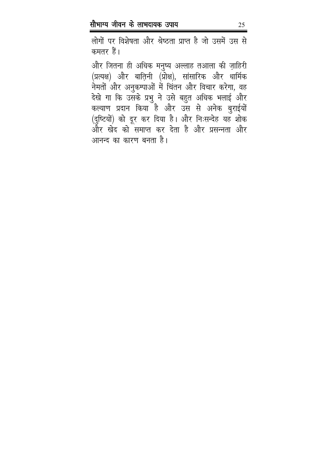लोगों पर विशेषता और श्रेष्ठता प्राप्त है जो उसमें उस से कमतर हैं।

और जितना ही अधिक मनुष्य अल्लाह तआला की ज़ाहिरी (प्रत्यक्ष) और बाति़नी (प्रोक्ष), सांसारिक और धार्मिक नेमतों और अनुकम्पाओं में चिंतन और विचार करेगा, वह देखे गा कि उसके प्रभु ने उसे बहुत अधिक भलाई और कल्याण प्रदान किया है और उस से अनेक बुराईयों (दुष्टियों) को दूर कर दिया है। और निःसन्देह यह शोक और खेद को समाप्त कर देता है और प्रसन्नता और आनन्द का कारण बनता है।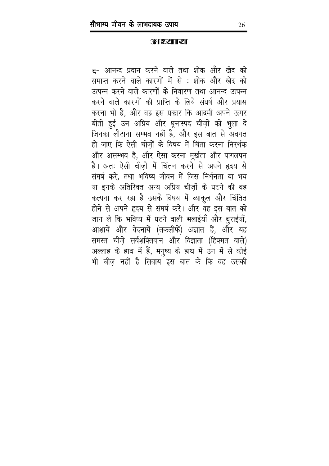**RETHES 3 113** 

<del>c</del>- आनन्द प्रदान करने वाले तथा शोक और खेद को समाप्त करने वाले कारणों में से : शोक और खेद को उत्पन्न करने वाले कारणों के निवारण तथा आनन्द उत्पन्न करने वाले कारणों की प्राप्ति के लिये संघर्ष और प्रयास करना भी है, और वह इस प्रकार कि आदमी अपने ऊपर बीती हुई उन अप्रिय और घृनास्पद चीज़ों को भुला दे जिनका लौटाना सम्भव नहीं है, और इस बात से अवगत हो जाए कि ऐसी चीजों के विषय में चिंता करना निरर्थक और असम्भव है, और ऐसा करना मूर्खता और पागलपन है। अतः ऐसी चीजो में चिंतन करने से अपने हृदय से संघर्ष करे, तथा भविष्य जीवन में जिस निर्धनता या भय या इनके अतिरिक्त अन्य अप्रिय चीज़ों के घटने की वह कल्पना कर रहा है उसके विषय में व्याकुल और चिंतित होने से अपने हृदय से संघर्ष करें। और वह इस बात को जान ले कि भविष्य में घटने वाली भलाईयाँ और बुराईयाँ, आशायें और वेदनायें (तकलीफें) अज्ञात हैं, और यह समस्त चीज़ें सर्वशक्तिवान और विज्ञाता (हिक्मत वाले) अल्लाह के हाथ में हैं, मनुष्य के हाथ में उन में से कोई भी चीज़ नहीं है सिवाय इस बात के कि वह उसकी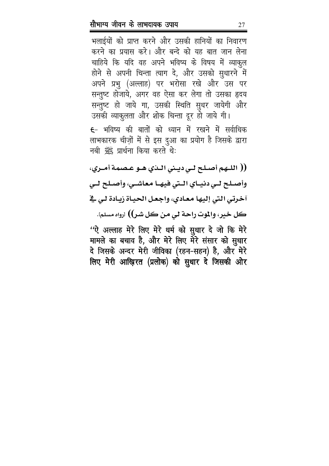भलाईयों को प्राप्त करने और उसकी हानियों का निवारण करने का प्रयास करे। और बन्दे को यह बात जान लेना चाहिये कि यदि वह अपने भविष्य के विषय में व्याकुल होने से अपनी चिन्ता त्याग दे, और उसको सुधारने में अपने प्रभु (अल्लाह) पर भरोसा रखे और उस पर सन्तुष्ट होजाये, अगर वह ऐसा कर लेगा तो उसका हृदय सन्तुष्ट हो जाये गा, उसकी स्थिति सुधर जायेगी और उसकी व्याकुलता और शोक चिन्ता दूर हो जाये गी।

£- भविष्य की बातों को ध्यान में रखने में सर्वाधिक लाभकारक चीज़ों में से इस दुआ का प्रयोग है जिसके द्वारा नबी ﷺ प्रार्थना किया करते थे:

(( اللـهم أصـلح لـي ديـني الـذي هـو عـصمة أمـري، وأصـلح لـي دنيـاي الـتي فيهـا معاشـي، وأصـلح لـي آخرتي التي إليها معـادي، واجعـل الحيـاة زيـادة لـي في كل خير، والموت راحة لي من كل شر)) ارواه مسلم].

"ऐ अल्लाह मेरे लिए मेरे धर्म को सुधार दे जो कि मेरे मामले का बचाव है, और मेरे लिए मेरे संसार को सुधार दे जिसके अन्दर मेरी जीविका (रहन-सहन) है, और मेरे लिए मेरी आख़िरत (प्रलोक) को सुधार दे जिसकी ओर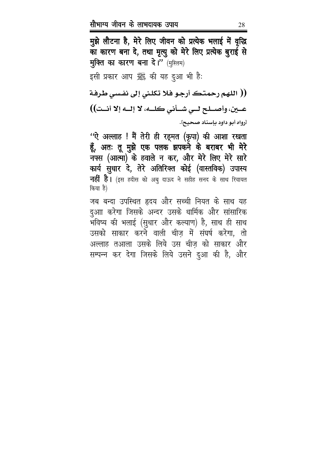मुझे लौटना है, मेरे लिए जीवन को प्रत्येक भलाई में वृद्धि का कारण बना दे, तथा मृत्यु को मेरे लिए प्रत्येक बुराई से मुक्ति का कारण बना दे।" (मुस्लिम)

इसी प्रकार आप ﷺ की यह दुआ भी है:

(( اللهم رحمتك أرجو فلا تكلني إلى نفسي طرفة عـــين، وأصـــلـح لـــي شـــأني كلــــه، لا إلـــه إلا أنـــت)) [رواه أبو داود بإسناد صحيح].

''ऐ अल्लाह ! मैं तेरी ही रह्मत (कृपा) की आशा रखता हूँ, अतः तू मुझे एक पलक झपकने के बराबर भी मेरे नफ्स (आत्मा) के हवाले न कर, और मेरे लिए मेरे सारे कार्य सुधार दे, तेरे अतिरिक्त कोई (वास्तविक) उपास्य **नहीं है।** (इस हदीस को अबु दाऊद ने सहीह सनद के साथ रिवायत किया है)

जब बन्दा उपस्थित हृदय और सच्ची नियत के साथ यह दुआा करेगा जिसके अन्दर उसके धार्मिक और सांसारिक .<br>भविष्य की भलाई (सुधार और कल्याण) है, साथ ही साथ उसको साकार करने वाली चीज में संघर्ष करेगा, तो अल्लाह तआला उसके लिये उस चीज़ को साकार और सम्पन्न कर देगा जिसके लिये उसने दुआ की है, और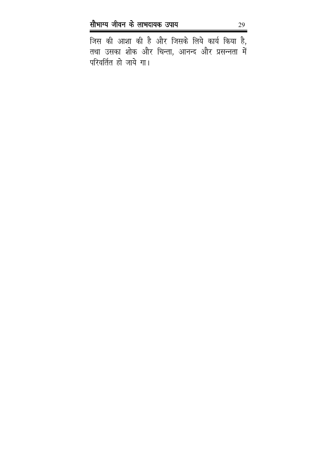जिस की आशा की है और जिसके लिये कार्य किया है, तथा उसका शोक और चिन्ता, आनन्द और प्रसन्नता में परिवर्तित हो जाये गा।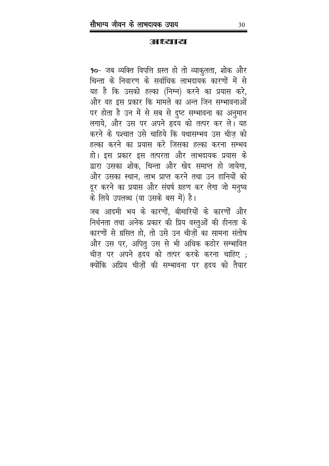**RETHES? THE** 

90- जब व्यक्ति विपत्ति ग्रस्त हो तो व्याकुलता, शोक और चिन्ता के निवारण के सर्वाधिक लाभदायक कारणों में से यह है कि उसको हल्का (निम्न) करने का प्रयास करे, और वह इस प्रकार कि मामले का अन्त जिन सम्भावनाओं पर होता है उन में से सब से दुष्ट सम्भावना का अनुमान लगाये, और उस पर अपने हृदय को तत्पर कर ले। यह करने के पश्चात उसे चाहिये कि यथासम्भव उस चीज़ को हल्का करने का प्रयास करे जिसका हल्का करना सम्भव हो। इस प्रकार इस तत्परता और लाभदायक प्रयास के द्वारा उसका शोक, चिन्ता और खेद समाप्त हो जायेगा, और उसका स्थान, लाभ प्राप्त करने तथा उन हानियों को दूर करने का प्रयास और संघर्ष ग्रहण कर लेगा जो मनुष्य के लिये उपलब्ध (या उसके बस में) है।

जब आदमी भय के कारणों, बीमारियों के कारणों और निर्धनता तथा अनेक प्रकार की प्रिय वस्तुओं की हीनता के कारणों से ग्रसित हो, तो उसे उन चीज़ों का सामना संतोष और उस पर, अपितु उस से भी अधिक कठोर सम्भावित चीज़ पर अपने हृदय को तत्पर करके करना चाहिए ; क्योंकि अप्रिय चीज़ों की सम्भावना पर हृदय को तैयार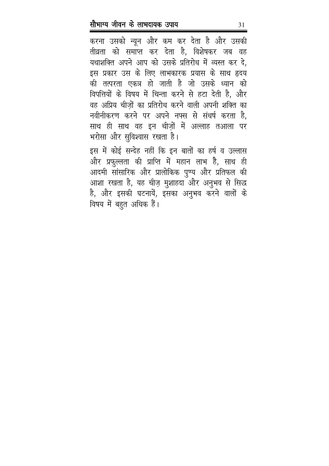करना उसको न्यून और कम कर देता है और उसकी तीव्रता को समाप्त कर देता है, विशेषकर जब वह यथाशक्ति अपने आप को उसके प्रतिरोध में व्यस्त कर दे, इस प्रकार उस के लिए लाभकारक प्रयास के साथ हृदय की तत्परता एकत्र हो जाती है जो उसके ध्यान को विपत्तियों के विषय में चिन्ता करने से हटा देती है, और वह अप्रिय चीज़ों का प्रतिरोध करने वाली अपनी शक्ति का नवीनीकरण करने पर अपने नफ्स से संधर्ष करता है, साथ ही साथ वह इन चीज़ों में अल्लाह तआला पर भरोसा और सुविश्वास रखता है।

इस में कोई सन्देह नहीं कि इन बातों का हर्ष व उल्लास और प्रफुल्लता की प्राप्ति में महान लाभ है, साथ ही आदमी सांसारिक और प्रालोकिक पुण्य और प्रतिफल की आशा रखता है, यह चीज़ मुशाहदा और अनुभव से सिद्ध है, और इसकी घटनायें, इसका अनुभव करने वालों के विषय में बहुत अधिक हैं।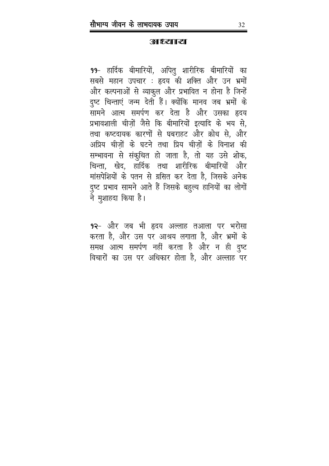**RETHES? THE** 

99- हार्दिक बीमारियों, अपितु शारीरिक बीमारियों का सबसे महान उपचार : हृदय की शक्ति और उन भ्रमों और कल्पनाओं से व्याकुल और प्रभावित न होना है जिन्हें दुष्ट चिन्ताएं जन्म देती हैं। क्योंकि मानव जब भ्रमों के सामने आत्म समर्पण कर देता है और उसका हृदय प्रभावशाली चीजों जैसे कि बीमारियों इत्यादि के भय से, तथा कष्टदायक कारणों से घबराहट और क्रोध से, और अप्रिय चीजों के घटने तथा प्रिय चीजों के विनाश की सम्भावना से संकुचित हो जाता है, तो यह उसे शोक, चिन्ता, खेद, हार्दिक तथा शारीरिक बीमारियों और मांसपेशियों के पतन से ग्रसित कर देता है, जिसके अनेक दुष्ट प्रभाव सामने आते हैं जिसके बहुल्य हानियों का लोगों ने मुशाहदा किया है।

9२- और जब भी हृदय अल्लाह तआला पर भरोसा करता है, और उस पर आश्रय लगाता है, और भ्रमों के समक्ष आत्म समर्पण नहीं करता है और न ही दुष्ट विचारों का उस पर अधिकार होता है, और अल्लाह पर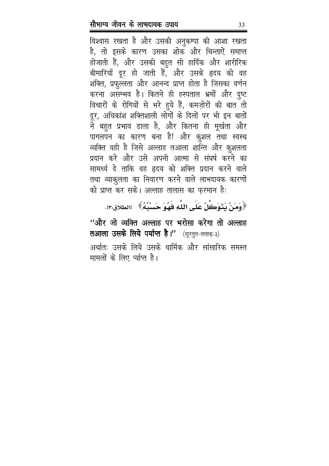विश्वास रखता है और उसकी अनुकम्पा की आशा रखता है, तो इसके कारण उसका शोक और चिन्ताऐं समाप्त होजाती हैं, और उसकी बहुत सी हार्दिक और शारीरिक बीमारियाँ दूर हो जाती हैं, और उसके हृदय को वह शक्ति, प्रफुल्लता और आनन्द प्राप्त होता है जिसका वर्णन करना असम्भव है। कितने ही हस्पताल भ्रमों और दुष्ट विचारों के रोगियों से भरे हुये हैं, कमज़ोरों की बात तो दूर, अधिकांश शक्तिशाली लोगों के दिलों पर भी इन बातों ने बहुत प्रभाव डाला है, और कितना ही मूर्खता और पागलपन का कारण बना है! और कुशल तथा स्वस्थ व्यक्ति वही है जिसे अल्लाह तआला शान्ति और कुशलता प्रदान करे और उसे अपनी आत्मा से संघर्ष करने का सामर्थ्य दे ताकि वह हृदय को शक्ति प्रदान करने वाले तथा व्याकुलता का निवारण करने वाले लाभदायक कारणों को प्राप्त कर सके। अल्लाह तालास का फ़रमान है:

﴿وَمَنْ يَتَوَكَّلْ عَلَى اللَّهِ فَهُوَ حَسَبُهُ﴾ الطلاق:٢:.

''और जो व्यक्ति अल्लाह पर भरोसा करेगा तो अल्लाह तआला उसके लिये पर्याप्त है।" (सूरतुत-तलाक़ः३) अर्थातः उसके लिये उसके धार्मिक और सांसारिक समस्त मामलों के लिए र्प्याप्त है।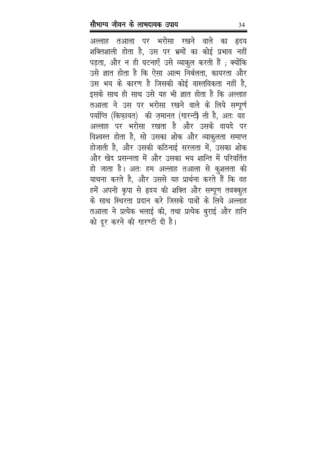अल्लाह तआला पर भरोसा रखने वाले का हृदय शक्तिशाली होता है, उस पर भ्रमों का कोई प्रभाव नहीं पड़ता, और न ही घटनाएँ उसे व्याकुल करती हैं ; क्योंकि उसे ज्ञात होता है कि ऐसा आत्म निर्बलता, कायरता और उस भय के कारण है जिसकी कोई वास्तविकता नहीं है, इसके साथ ही साथ उसे यह भी ज्ञात होता है कि अल्लाह तआला ने उस पर भरोसा रखने वाले के लिये सम्पूर्ण पर्याप्ति (किफ़ायत) की ज़मानत (गारन्टी) ली है, अतः वह अल्लाह पर भरोसा रखता है और उसके वायदे पर विश्वस्त होता है, सो उसका शोक और व्याकुलता समाप्त होजाती है, और उसकी कठिनाई सरलता में, उसका शोक और खेद प्रसन्नता में और उसका भय शान्ति में परिवर्तित हो जाता है। अतः हम अल्लाह तआला से कुशलता की याचना करते है, और उससे यह प्रार्थना करते हैं कि वह हमें अपनी कृपा से हृदय की शक्ति और सम्पूण तवक्कुल के साथ स्थिरता प्रदान करे जिसके पात्रों के लिये अल्लाह तआला ने प्रत्येक भलाई की, तथा प्रत्येक बुराई और हानि को दूर करने की गारण्टी दी है।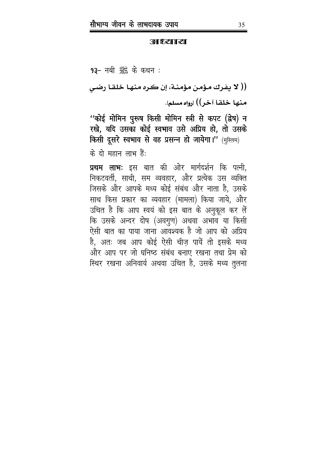**BURYAL STREET** 

93- नबी ﷺ के कथन:

(( لا يفرك مؤمن مؤمنـة، إن كـره منهـا خلقـا رضـي) منها خلقا آخر)) ارواه مسلم].

''कोई मोमिन पुरूष किसी मोमिन स्त्री से कपट (द्वेष) न रखे, यदि उसका कोई स्वभाव उसे अप्रिय हो, तो उसके किसी दूसरे स्वभाव से वह प्रसन्न हो जायेगा।" (मुस्लिम) के दो महान लाभ हैं:

**प्रथम लाभः** इस बात की ओर मार्गदर्शन कि पत्नी, निकटवर्ती, साथी, सम व्यवहार, और प्रत्येक उस व्यक्ति जिसके और आपके मध्य कोई संबंध और नाता है, उसके साथ किस प्रकार का व्यवहार (मामला) किया जाये, और उचित है कि आप स्वयं को इस बात के अनुकूल कर लें कि उसके अन्दर दोष (अवगुण) अथवा अभाव या किसी ऐसी बात का पाया जाना आवश्यक है जो आप को अप्रिय है, अतः जब आप कोई ऐसी चीज़ पायें तो इसके मध्य और आप पर जो घनिष्ठ संबंध बनाए रखना तथा प्रेम को स्थिर रखना अनिवार्य अथवा उचित है, उसके मध्य तुलना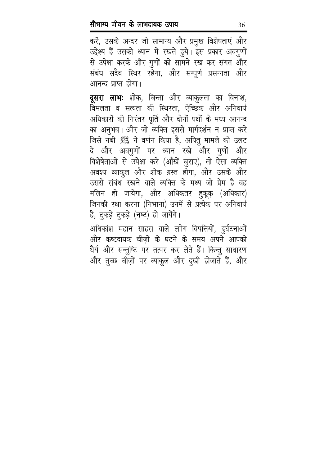करें, उसके अन्दर जो सामान्य और प्रमुख विशेषताएं और उद्देश्य हैं उसको ध्यान में रखते हुये। इस प्रकार अवगुणों से उपेक्षा करके और गुणों को सामने रख कर संगत और संबंध सदैव स्थिर रहेगा, और सम्पूर्ण प्रसन्नता और आनन्द प्राप्त होगा।

दूसरा लाभः शोक, चिन्ता और व्याकुलता का विनाश, विमलता व सत्यता की स्थिरता, ऐच्छिक और अनिवार्य अधिकारों की निरंतर पूर्ति और दोनों पक्षों के मध्य आनन्द का अनुभव। और जो व्यक्ति इससे मार्गदर्शन न प्राप्त करे जिसे नबी ﷺ ने वर्णन किया है, अपितु मामले को उलट दे और अवगुणों पर ध्यान रखे और गुणों और विशेषेताओं से उपेक्षा करे (आँखें चुराए), तो ऐसा व्यक्ति अवश्य व्याकुल और शोक ग्रस्त होगा, और उसके और उससे संबंध रखने वाले व्यक्ति के मध्य जो प्रेम है वह मलिन हो जायेगा, और अधिकतर हुकूक़ (अधिकार) जिनकी रक्षा करना (निभाना) उनमें से प्रत्येक पर अनिवार्य है, टुकड़े टुकड़े (नष्ट) हो जायेंगे।

अधिकांश महान साहस वाले लाोग विपत्तियों, दुर्घटनाओं और कष्टदायक चीज़ों के घटने के समय अपने आपको धैर्य और सन्तुष्टि पर तत्पर कर लेते हैं। किन्तु साधारण और तुच्छ चीज़ों पर व्याकुल और दुखी होजाते हैं, और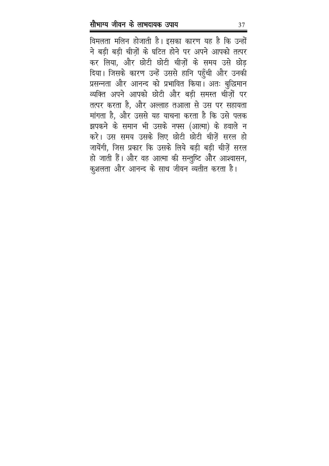विमलता मलिन होजाती है। इसका कारण यह है कि उन्हों ने बड़ी बड़ी चीज़ों के घटित होने पर अपने आपको तत्पर कर लिया, और छोटी छोटी चीजों के समय उसे छोड़ दिया। जिसके कारण उन्हें उससे हानि पहुँची और उनकी प्रसन्नता और आनन्द को प्रभावित किया। अतः बुद्धिमान व्यक्ति अपने आपको छोटी और बड़ी समस्त चीज़ों पर तत्पर करता है, और अल्लाह तआला से उस पर सहायता मांगता है, और उससे यह याचना करता है कि उसे पलक झपकने के समान भी उसके नफ्स (आत्मा) के हवाले न करे। उस समय उसके लिए छोटी छोटी चीज़ें सरल हो जायेंगी, जिस प्रकार कि उसके लिये बड़ी बड़ी चीज़ें सरल हो जाती हैं। और वह आत्मा की सन्तुष्टि और आश्वासन, कुशलता और आनन्द के साथ जीवन व्यतीत करता है।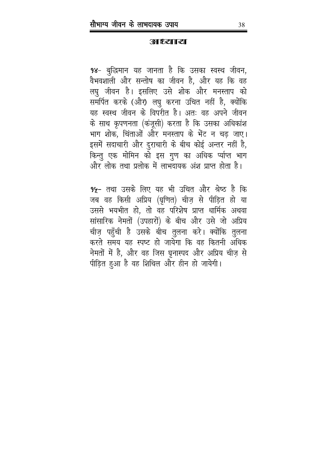**RETHES? THE** 

98- बुद्धिमान यह जानता है कि उसका स्वस्थ जीवन, वैभवशाली और सन्तोष का जीवन है, और यह कि वह लघु जीवन है। इसलिए उसे शोक और मनस्ताप को समर्पित करके (और) लघु करना उचित नहीं है, क्योंकि यह स्वस्थ जीवन के विपरीत है। अतः वह अपने जीवन के साथ कृपणनता (कंजूसी) करता है कि उसका अधिकांश भाग शोक, चिंताओं और मनस्ताप के भेंट न चढ जाए। इसमें सदाचारी और दुराचारी के बीच कोई अन्तर नहीं है, किन्तु एक मोमिन को इस गुण का अधिक र्प्याप्त भाग और लोक तथा प्रलोक में लाभदायक अंश प्राप्त होता है।

9५- तथा उसके लिए यह भी उचित और श्रेष्ठ है कि जब वह किसी अप्रिय (घृणित) चीज़ से पीड़ित हो या उससे भयभीत हो, तो वह परिशेष प्राप्त धार्मिक अथवा सांसारिक नेमतों (उपहारों) के बीच और उसे जो अप्रिय चीज़ पहुँची है उसके बीच तुलना करे। क्योंकि तुलना करते समय यह स्पष्ट हो जायेगा कि वह कितनी अधिक नेमतों में है, और वह जिस घृनास्पद और अप्रिय चीज़ से पीड़ित हुआ है वह शिथिल और हीन हो जायेगी।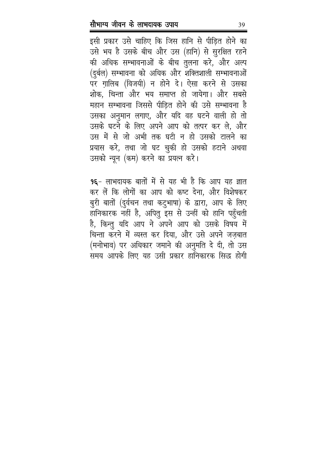इसी प्रकार उसे चाहिए कि जिस हानि से पीड़ित होने का उसे भय है उसके बीच और उस (हानि) से सुरक्षित रहने की अधिक सम्भावनाओं के बीच तुलना करे, और अल्प (दुर्बल) सम्भावना को अधिक और शक्तिशाली सम्भावनाओं पर ग़ालिब (विजयी) न होने दे। ऐसा करने से उसका शोक, चिन्ता और भय समाप्त हो जायेगा। और सबसे महान सम्भावना जिससे पीड़ित होने की उसे सम्भावना है उसका अनुमान लगाए, और यदि वह घटने वाली हो तो उसके घटने के लिए अपने आप को तत्पर कर ले, और उस में से जो अभी तक घटी न हो उसको टालने का प्रयास करे, तथा जो घट चुकी हो उसको हटाने अथवा उसको न्यून (कम) करने का प्रयत्न करे।

9६- लाभदायक बातों में से यह भी है कि आप यह ज्ञात कर लें कि लोगों का आप को कष्ट देना, और विशेषकर बुरी बातों (दुर्वचन तथा कटुभाषा) के द्वारा, आप के लिए हानिकारक नहीं है, अपितु इस से उन्हीं को हानि पहुँचती है, किन्तु यदि आप ने अपने आप को उसके विषय में चिन्ता करने में व्यस्त कर दिया, और उसे अपने जजबात (मनोभाव) पर अधिकार जमाने की अनुमति दे दी, तो उस समय आपके लिए यह उसी प्रकार हानिकारक सिद्ध होगी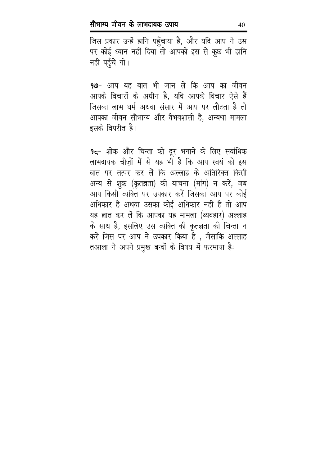जिस प्रकार उन्हें हानि पहुँचाया है, और यदि आप ने उस पर कोई ध्यान नहीं दिया तो आपको इस से कुछ भी हानि नहीं पहुँचे गी।

9७- आप यह बात भी जान लें कि आप का जीवन आपके विचारों के अधीन है, यदि आपके विचार ऐसे हैं जिसका लाभ धर्म अथवा संसार में आप पर लौटता है तो आपका जीवन सौभाग्य और वैभवशाली है, अन्यथा मामला इसके विपरीत है।

9८- शोक और चिन्ता को दूर भगाने के लिए सर्वाधिक लाभदायक चीज़ों में से यह भी है कि आप स्वयं को इस बात पर तत्पर कर लें कि अल्लाह के अतिरिक्त किसी अन्य से शुक्र (कृतज्ञता) की याचना (मांग) न करें, जब आप किसी व्यक्ति पर उपकार करें जिसका आप पर कोई अधिकार है अथवा उसका कोई अधिकार नहीं है तो आप यह ज्ञात कर लें कि आपका यह मामला (व्यवहार) अल्लाह के साथ है, इसलिए उस व्यक्ति की कृतज्ञता की चिन्ता न करें जिस पर आप ने उपकार किया है , जैसाकि अल्लाह तआला ने अपने प्रमुख बन्दों के विषय में फरमाया है: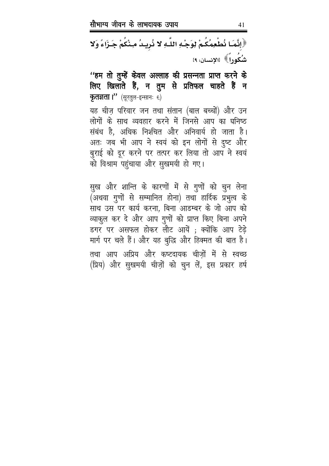﴿إِنَّمَا نُطْعِمُكُمْ لِوَجْهِ اللَّهِ لا نُرِيدُ مِنْكُمْ جَـزَاءً وَلا .<br>شُكُوراً 》[الإنسان: ١٩]

''हम तो तुम्हें केवल अल्लाह की प्रसन्नता प्राप्त करने के लिए खिलाते हैं, न तुम से प्रतिफल चाहते हैं न **कृतज्ञता।"** (सूरतुल-इन्सानः ६)

यह चीज़ परिवार जन तथा संतान (बाल बच्चों) और उन लोगों के साथ व्यवहार करने में जिनसे आप का घनिष्ठ संबंध है, अधिक निश्चित और अनिवार्य हो जाता है। अतः जब भी आप ने स्वयं को इन लोगों से दुष्ट और बुराई को दूर करने पर तत्पर कर लिया तो आप ने स्वयं को विश्राम पहुंचाया और सुखमयी हो गए।

सुख और शान्ति के कारणों में से गुणों को चुन लेना (अथवा गुणों से सम्मानित होना) तथा हार्दिक प्रभुत्व के साथ उस पर कार्य करना, बिना आडम्बर के जो आप को व्याकुल कर दे और आप गुणों को प्राप्त किए बिना अपने डगर पर असफल होकर लौट आयें ; क्योंकि आप टेढ़े मार्ग पर चले हैं। और यह बुद्धि और हिक्मत की बात है। तथा आप अप्रिय और कष्टदायक चीजों में से स्वच्छ (प्रिय) और सुखमयी चीज़ों को चुन लें, इस प्रकार हर्ष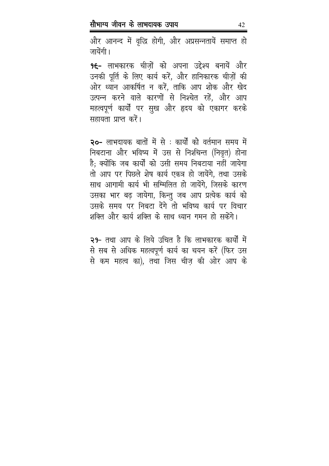और आनन्द में वृद्धि होगी, और अप्रसन्नतायें समाप्त हो जायेंगी।

9€- लाभकारक चीजों को अपना उद्देश्य बनायें और उनकी पूर्ति के लिए कार्य करें, और हानिकारक चीज़ों की ओर ध्यान आकर्षित न करें, ताकि आप शोक और खेद उत्पन्न करने वाले कारणों से निश्चेत रहें, और आप महत्वपूर्ण कार्यों पर सुख और हृदय को एकागर करके सहायता प्राप्त करें।

२०- लाभदायक बातों में से : कार्यों को वर्तमान समय में निबटाना और भविष्य में उस से निश्चिन्त (निवृत) होना है; क्योंकि जब कार्यों को उसी समय निबटाया नहीं जायेगा तो आप पर पिछले शेष कार्य एकत्र हो जायेंगे. तथा उसके साथ आगामी कार्य भी सम्मिलित हो जायेंगे, जिसके कारण उसका भार बढ़ जायेगा, किन्तु जब आप प्रत्येक कार्य को उसके समय पर निबटा देंगे तो भविष्य कार्य पर विचार शक्ति और कार्य शक्ति के साथ ध्यान गमन हो सकेंगे।

२१- तथा आप के लिये उचित है कि लाभकारक कार्यों में से सब से अधिक महत्वपूर्ण कार्य का चयन करें (फिर उस से कम महत्व का), तथा जिस चीज़ की ओर आप के

42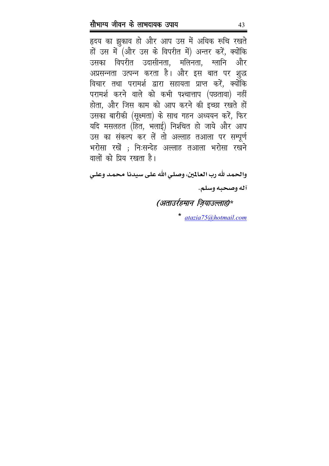हृदय का झुकाव हो और आप उस में अधिक रूचि रखते हों उस में (और उस के विपरीत में) अन्तर करें, क्योंकि उसका विपरीत उदासीनता, मलिनता, ग्लानि और अप्रसन्नता उत्पन्न करता है। और इस बात पर शुद्ध विचार तथा परामर्श द्वारा सहायता प्राप्त करें, क्योंकि परामर्श करने वाले को कभी पश्चात्ताप (पछतावा) नहीं होता, और जिस काम को आप करने की इच्छा रखते हों उसका बारीकी (सूक्ष्मता) के साथ गहन अध्ययन करें, फिर यदि मसलहत (हित, भलाई) निश्चित हो जाये और आप उस का संकल्प कर लें तो अल्लाह तआला पर सम्पूर्ण भरोसा रखें ; निःसन्देह अल्लाह तआला भरोसा रखने वालों को प्रिय रखता है।

والحمد لله رب العالمين، وصلي الله على سيدنا محمد وعلي آله وصحبه وسلم.

### (अताउर्रहमान ज़ियाउल्लाह)\*

atazia75@hotmail.com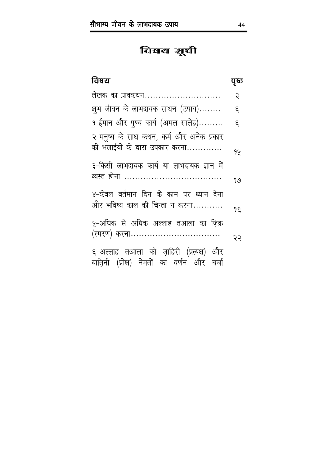### विषय शूली

| विषय                                                                                  | पूष्ठ |
|---------------------------------------------------------------------------------------|-------|
| लेखक का प्राक्कथन                                                                     | ३     |
| शुभ जीवन के लाभदायक साधन (उपाय)                                                       | દ્    |
| १-ईमान और पुण्य कार्य (अमल सालेह)                                                     | ξ.    |
| २-मनुष्य के साथ कथन, कर्म और अनेक प्रकार<br>की भलाईयों के द्वारा उपकार करना           | 94    |
| ३-किसी लाभदायक कार्य या लाभदायक ज्ञान में                                             | 919   |
| ४-केवल वर्तमान दिन के काम पर ध्यान देना<br>और भविष्य काल की चिन्ता न करना             | 9£    |
| ५-अधिक से अधिक अल्लाह तआला का ज़िक्र<br>(स्मरण) करना                                  | २२    |
| ६-अल्लाह तआला की ज़ाहिरी (प्रत्यक्ष) और<br>बाति़नी (प्रोक्ष) नेमतों का वर्णन और चर्चा |       |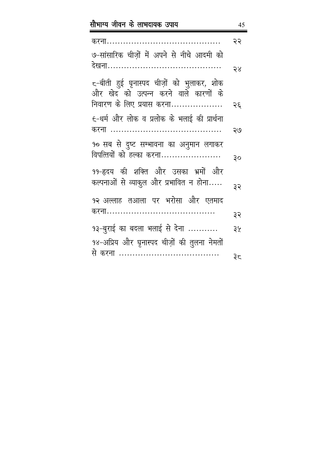|                                                                                    | २२ |
|------------------------------------------------------------------------------------|----|
| ७-सांसारिक चीजों में अपने से नीचे आदमी को                                          |    |
|                                                                                    | २४ |
| ८−बीती हुई घृनास्पद चीज़ों को भुलाकर, शोक<br>और खेद को उत्पन्न करने वाले कारणों के |    |
| निवारण के लिए प्रयास करना                                                          | २६ |
| €-धर्म और लोक व प्रलोक के भलाई की प्रार्थना                                        |    |
|                                                                                    | २७ |
| १० सब से दुष्ट सम्भावना का अनुमान लगाकर                                            |    |
| विपत्तियों को हल्का करना                                                           | ३० |
| ११-हृदय की शक्ति और उसका भ्रमों और                                                 |    |
| कल्पनाओं से व्याकुल और प्रभावित न होना                                             | ३२ |
| १२ अल्लाह तआला पर भरोसा और एतमाद                                                   |    |
|                                                                                    | ३२ |
| १३-बुराई का बदला भलाई से देना                                                      | ३५ |
| १४-अप्रिय और घृनास्पद चीज़ों की तुलना नेमतों                                       |    |
| से करना                                                                            | ३८ |